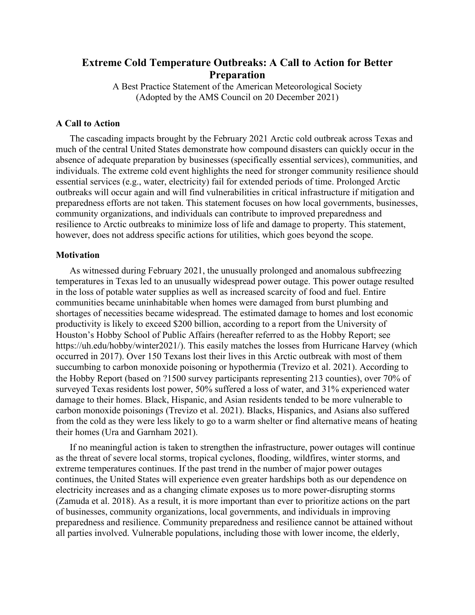# **Extreme Cold Temperature Outbreaks: A Call to Action for Better Preparation**

A Best Practice Statement of the American Meteorological Society (Adopted by the AMS Council on 20 December 2021)

#### **A Call to Action**

The cascading impacts brought by the February 2021 Arctic cold outbreak across Texas and much of the central United States demonstrate how compound disasters can quickly occur in the absence of adequate preparation by businesses (specifically essential services), communities, and individuals. The extreme cold event highlights the need for stronger community resilience should essential services (e.g., water, electricity) fail for extended periods of time. Prolonged Arctic outbreaks will occur again and will find vulnerabilities in critical infrastructure if mitigation and preparedness efforts are not taken. This statement focuses on how local governments, businesses, community organizations, and individuals can contribute to improved preparedness and resilience to Arctic outbreaks to minimize loss of life and damage to property. This statement, however, does not address specific actions for utilities, which goes beyond the scope.

#### **Motivation**

As witnessed during February 2021, the unusually prolonged and anomalous subfreezing temperatures in Texas led to an unusually widespread power outage. This power outage resulted in the loss of potable water supplies as well as increased scarcity of food and fuel. Entire communities became uninhabitable when homes were damaged from burst plumbing and shortages of necessities became widespread. The estimated damage to homes and lost economic productivity is likely to exceed \$200 billion, according to a report from the University of Houston's Hobby School of Public Affairs (hereafter referred to as the Hobby Report; see https://uh.edu/hobby/winter2021/). This easily matches the losses from Hurricane Harvey (which occurred in 2017). Over 150 Texans lost their lives in this Arctic outbreak with most of them succumbing to carbon monoxide poisoning or hypothermia (Trevizo et al. 2021). According to the Hobby Report (based on ?1500 survey participants representing 213 counties), over 70% of surveyed Texas residents lost power, 50% suffered a loss of water, and 31% experienced water damage to their homes. Black, Hispanic, and Asian residents tended to be more vulnerable to carbon monoxide poisonings (Trevizo et al. 2021). Blacks, Hispanics, and Asians also suffered from the cold as they were less likely to go to a warm shelter or find alternative means of heating their homes (Ura and Garnham 2021).

If no meaningful action is taken to strengthen the infrastructure, power outages will continue as the threat of severe local storms, tropical cyclones, flooding, wildfires, winter storms, and extreme temperatures continues. If the past trend in the number of major power outages continues, the United States will experience even greater hardships both as our dependence on electricity increases and as a changing climate exposes us to more power-disrupting storms (Zamuda et al. 2018). As a result, it is more important than ever to prioritize actions on the part of businesses, community organizations, local governments, and individuals in improving preparedness and resilience. Community preparedness and resilience cannot be attained without all parties involved. Vulnerable populations, including those with lower income, the elderly,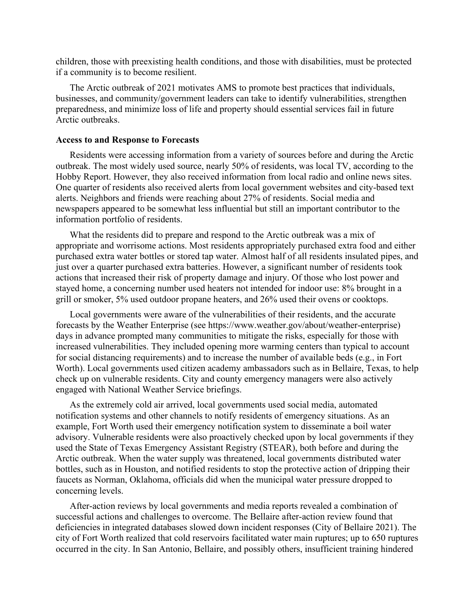children, those with preexisting health conditions, and those with disabilities, must be protected if a community is to become resilient.

The Arctic outbreak of 2021 motivates AMS to promote best practices that individuals, businesses, and community/government leaders can take to identify vulnerabilities, strengthen preparedness, and minimize loss of life and property should essential services fail in future Arctic outbreaks.

#### **Access to and Response to Forecasts**

Residents were accessing information from a variety of sources before and during the Arctic outbreak. The most widely used source, nearly 50% of residents, was local TV, according to the Hobby Report. However, they also received information from local radio and online news sites. One quarter of residents also received alerts from local government websites and city-based text alerts. Neighbors and friends were reaching about 27% of residents. Social media and newspapers appeared to be somewhat less influential but still an important contributor to the information portfolio of residents.

What the residents did to prepare and respond to the Arctic outbreak was a mix of appropriate and worrisome actions. Most residents appropriately purchased extra food and either purchased extra water bottles or stored tap water. Almost half of all residents insulated pipes, and just over a quarter purchased extra batteries. However, a significant number of residents took actions that increased their risk of property damage and injury. Of those who lost power and stayed home, a concerning number used heaters not intended for indoor use: 8% brought in a grill or smoker, 5% used outdoor propane heaters, and 26% used their ovens or cooktops.

Local governments were aware of the vulnerabilities of their residents, and the accurate forecasts by the Weather Enterprise (see https://www.weather.gov/about/weather-enterprise) days in advance prompted many communities to mitigate the risks, especially for those with increased vulnerabilities. They included opening more warming centers than typical to account for social distancing requirements) and to increase the number of available beds (e.g., in Fort Worth). Local governments used citizen academy ambassadors such as in Bellaire, Texas, to help check up on vulnerable residents. City and county emergency managers were also actively engaged with National Weather Service briefings.

As the extremely cold air arrived, local governments used social media, automated notification systems and other channels to notify residents of emergency situations. As an example, Fort Worth used their emergency notification system to disseminate a boil water advisory. Vulnerable residents were also proactively checked upon by local governments if they used the State of Texas Emergency Assistant Registry (STEAR), both before and during the Arctic outbreak. When the water supply was threatened, local governments distributed water bottles, such as in Houston, and notified residents to stop the protective action of dripping their faucets as Norman, Oklahoma, officials did when the municipal water pressure dropped to concerning levels.

After-action reviews by local governments and media reports revealed a combination of successful actions and challenges to overcome. The Bellaire after-action review found that deficiencies in integrated databases slowed down incident responses (City of Bellaire 2021). The city of Fort Worth realized that cold reservoirs facilitated water main ruptures; up to 650 ruptures occurred in the city. In San Antonio, Bellaire, and possibly others, insufficient training hindered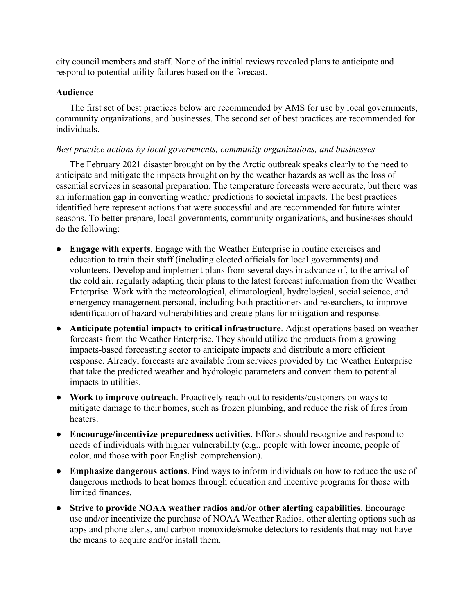city council members and staff. None of the initial reviews revealed plans to anticipate and respond to potential utility failures based on the forecast.

#### **Audience**

The first set of best practices below are recommended by AMS for use by local governments, community organizations, and businesses. The second set of best practices are recommended for individuals.

## *Best practice actions by local governments, community organizations, and businesses*

The February 2021 disaster brought on by the Arctic outbreak speaks clearly to the need to anticipate and mitigate the impacts brought on by the weather hazards as well as the loss of essential services in seasonal preparation. The temperature forecasts were accurate, but there was an information gap in converting weather predictions to societal impacts. The best practices identified here represent actions that were successful and are recommended for future winter seasons. To better prepare, local governments, community organizations, and businesses should do the following:

- **Engage with experts**. Engage with the Weather Enterprise in routine exercises and education to train their staff (including elected officials for local governments) and volunteers. Develop and implement plans from several days in advance of, to the arrival of the cold air, regularly adapting their plans to the latest forecast information from the Weather Enterprise. Work with the meteorological, climatological, hydrological, social science, and emergency management personal, including both practitioners and researchers, to improve identification of hazard vulnerabilities and create plans for mitigation and response.
- **Anticipate potential impacts to critical infrastructure**. Adjust operations based on weather forecasts from the Weather Enterprise. They should utilize the products from a growing impacts-based forecasting sector to anticipate impacts and distribute a more efficient response. Already, forecasts are available from services provided by the Weather Enterprise that take the predicted weather and hydrologic parameters and convert them to potential impacts to utilities.
- **Work to improve outreach**. Proactively reach out to residents/customers on ways to mitigate damage to their homes, such as frozen plumbing, and reduce the risk of fires from heaters.
- **Encourage/incentivize preparedness activities**. Efforts should recognize and respond to needs of individuals with higher vulnerability (e.g., people with lower income, people of color, and those with poor English comprehension).
- **Emphasize dangerous actions**. Find ways to inform individuals on how to reduce the use of dangerous methods to heat homes through education and incentive programs for those with limited finances.
- **Strive to provide NOAA weather radios and/or other alerting capabilities**. Encourage use and/or incentivize the purchase of NOAA Weather Radios, other alerting options such as apps and phone alerts, and carbon monoxide/smoke detectors to residents that may not have the means to acquire and/or install them.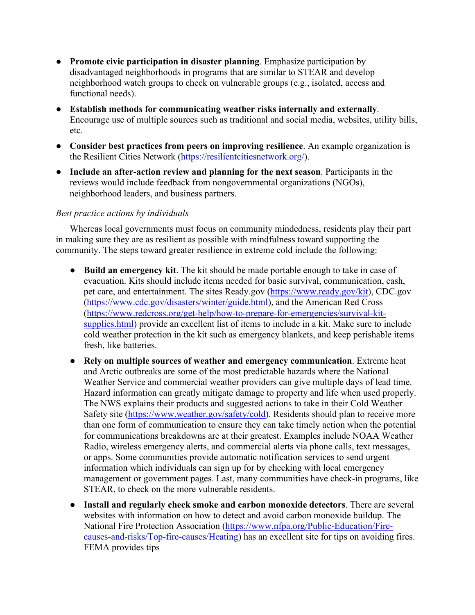- **Promote civic participation in disaster planning**. Emphasize participation by disadvantaged neighborhoods in programs that are similar to STEAR and develop neighborhood watch groups to check on vulnerable groups (e.g., isolated, access and functional needs).
- **Establish methods for communicating weather risks internally and externally**. Encourage use of multiple sources such as traditional and social media, websites, utility bills, etc.
- **Consider best practices from peers on improving resilience**. An example organization is the Resilient Cities Network [\(https://resilientcitiesnetwork.org/\)](https://resilientcitiesnetwork.org/).
- **Include an after-action review and planning for the next season**. Participants in the reviews would include feedback from nongovernmental organizations (NGOs), neighborhood leaders, and business partners.

## *Best practice actions by individuals*

Whereas local governments must focus on community mindedness, residents play their part in making sure they are as resilient as possible with mindfulness toward supporting the community. The steps toward greater resilience in extreme cold include the following:

- **Build an emergency kit**. The kit should be made portable enough to take in case of evacuation. Kits should include items needed for basic survival, communication, cash, pet care, and entertainment. The sites Ready.gov [\(https://www.ready.gov/kit\)](https://www.ready.gov/kit), CDC.gov [\(https://www.cdc.gov/disasters/winter/guide.html\)](https://www.cdc.gov/disasters/winter/guide.html), and the American Red Cross [\(https://www.redcross.org/get-help/how-to-prepare-for-emergencies/survival-kit](https://www.redcross.org/get-help/how-to-prepare-for-emergencies/survival-kit-supplies.html)[supplies.html\)](https://www.redcross.org/get-help/how-to-prepare-for-emergencies/survival-kit-supplies.html) provide an excellent list of items to include in a kit. Make sure to include cold weather protection in the kit such as emergency blankets, and keep perishable items fresh, like batteries.
- **Rely on multiple sources of weather and emergency communication**. Extreme heat and Arctic outbreaks are some of the most predictable hazards where the National Weather Service and commercial weather providers can give multiple days of lead time. Hazard information can greatly mitigate damage to property and life when used properly. The NWS explains their products and suggested actions to take in their Cold Weather Safety site [\(https://www.weather.gov/safety/cold\)](https://www.weather.gov/safety/cold). Residents should plan to receive more than one form of communication to ensure they can take timely action when the potential for communications breakdowns are at their greatest. Examples include NOAA Weather Radio, wireless emergency alerts, and commercial alerts via phone calls, text messages, or apps. Some communities provide automatic notification services to send urgent information which individuals can sign up for by checking with local emergency management or government pages. Last, many communities have check-in programs, like STEAR, to check on the more vulnerable residents.
- **Install and regularly check smoke and carbon monoxide detectors**. There are several websites with information on how to detect and avoid carbon monoxide buildup. The National Fire Protection Association [\(https://www.nfpa.org/Public-Education/Fire](https://www.nfpa.org/Public-Education/Fire-causes-and-risks/Top-fire-causes/Heating)[causes-and-risks/Top-fire-causes/Heating\)](https://www.nfpa.org/Public-Education/Fire-causes-and-risks/Top-fire-causes/Heating) has an excellent site for tips on avoiding fires. FEMA provides tips